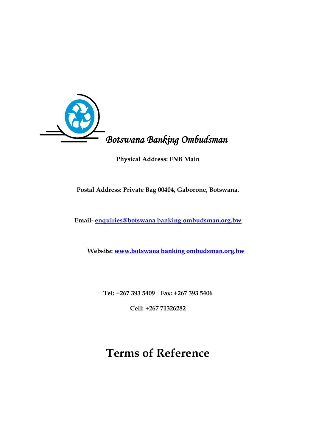

**Physical Address: FNB Main** 

**Postal Address: Private Bag 00404, Gaborone, Botswana.**

**Email- [enquiries@botswana banking ombudsman.org.bw](mailto:enquiries@banking-ombudsman.org.bw)**

 **Website: www.botswana banking ombudsman.org.bw**

**Tel: +267 393 5409 Fax: +267 393 5406**

**Cell: +267 71326282**

# **Terms of Reference**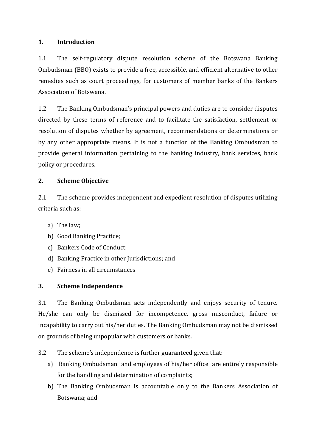# **1. Introduction**

1.1 The self-regulatory dispute resolution scheme of the Botswana Banking Ombudsman (BBO) exists to provide a free, accessible, and efficient alternative to other remedies such as court proceedings, for customers of member banks of the Bankers Association of Botswana.

1.2 The Banking Ombudsman's principal powers and duties are to consider disputes directed by these terms of reference and to facilitate the satisfaction, settlement or resolution of disputes whether by agreement, recommendations or determinations or by any other appropriate means. It is not a function of the Banking Ombudsman to provide general information pertaining to the banking industry, bank services, bank policy or procedures.

## **2. Scheme Objective**

2.1 The scheme provides independent and expedient resolution of disputes utilizing criteria such as:

- a) The law;
- b) Good Banking Practice;
- c) Bankers Code of Conduct;
- d) Banking Practice in other Jurisdictions; and
- e) Fairness in all circumstances

# **3. Scheme Independence**

3.1 The Banking Ombudsman acts independently and enjoys security of tenure. He/she can only be dismissed for incompetence, gross misconduct, failure or incapability to carry out his/her duties. The Banking Ombudsman may not be dismissed on grounds of being unpopular with customers or banks.

- 3.2 The scheme's independence is further guaranteed given that:
	- a) Banking Ombudsman and employees of his/her office are entirely responsible for the handling and determination of complaints;
	- b) The Banking Ombudsman is accountable only to the Bankers Association of Botswana; and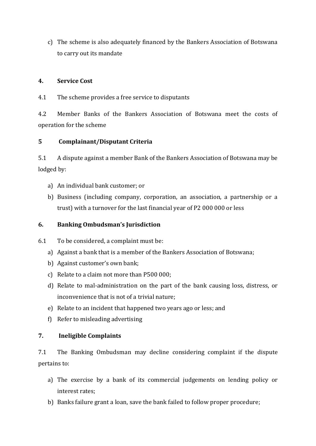c) The scheme is also adequately financed by the Bankers Association of Botswana to carry out its mandate

## **4. Service Cost**

4.1 The scheme provides a free service to disputants

4.2 Member Banks of the Bankers Association of Botswana meet the costs of operation for the scheme

# **5 Complainant/Disputant Criteria**

5.1 A dispute against a member Bank of the Bankers Association of Botswana may be lodged by:

- a) An individual bank customer; or
- b) Business (including company, corporation, an association, a partnership or a trust) with a turnover for the last financial year of P2 000 000 or less

# **6. Banking Ombudsman's Jurisdiction**

- 6.1 To be considered, a complaint must be:
	- a) Against a bank that is a member of the Bankers Association of Botswana;
	- b) Against customer's own bank;
	- c) Relate to a claim not more than P500 000;
	- d) Relate to mal-administration on the part of the bank causing loss, distress, or inconvenience that is not of a trivial nature;
	- e) Relate to an incident that happened two years ago or less; and
	- f) Refer to misleading advertising

## **7. Ineligible Complaints**

7.1 The Banking Ombudsman may decline considering complaint if the dispute pertains to:

- a) The exercise by a bank of its commercial judgements on lending policy or interest rates;
- b) Banks failure grant a loan, save the bank failed to follow proper procedure;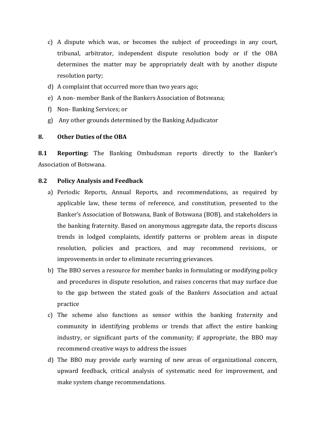- c) A dispute which was, or becomes the subject of proceedings in any court, tribunal, arbitrator, independent dispute resolution body or if the OBA determines the matter may be appropriately dealt with by another dispute resolution party;
- d) A complaint that occurred more than two years ago;
- e) A non- member Bank of the Bankers Association of Botswana;
- f) Non- Banking Services; or
- g) Any other grounds determined by the Banking Adjudicator

#### **8. Other Duties of the OBA**

**8.1 Reporting:** The Banking Ombudsman reports directly to the Banker's Association of Botswana.

#### **8.2 Policy Analysis and Feedback**

- a) Periodic Reports, Annual Reports, and recommendations, as required by applicable law, these terms of reference, and constitution, presented to the Banker's Association of Botswana, Bank of Botswana (BOB), and stakeholders in the banking fraternity. Based on anonymous aggregate data, the reports discuss trends in lodged complaints, identify patterns or problem areas in dispute resolution, policies and practices, and may recommend revisions, or improvements in order to eliminate recurring grievances.
- b) The BBO serves a resource for member banks in formulating or modifying policy and procedures in dispute resolution, and raises concerns that may surface due to the gap between the stated goals of the Bankers Association and actual practice
- c) The scheme also functions as sensor within the banking fraternity and community in identifying problems or trends that affect the entire banking industry, or significant parts of the community; if appropriate, the BBO may recommend creative ways to address the issues
- d) The BBO may provide early warning of new areas of organizational concern, upward feedback, critical analysis of systematic need for improvement, and make system change recommendations.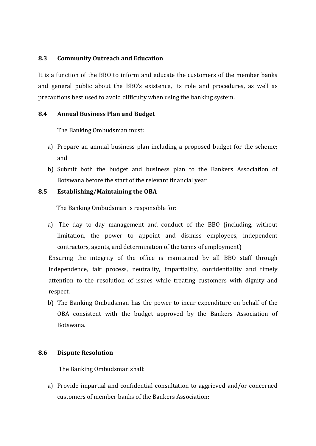## **8.3 Community Outreach and Education**

It is a function of the BBO to inform and educate the customers of the member banks and general public about the BBO's existence, its role and procedures, as well as precautions best used to avoid difficulty when using the banking system.

## **8.4 Annual Business Plan and Budget**

The Banking Ombudsman must:

- a) Prepare an annual business plan including a proposed budget for the scheme; and
- b) Submit both the budget and business plan to the Bankers Association of Botswana before the start of the relevant financial year

## **8.5 Establishing/Maintaining the OBA**

The Banking Ombudsman is responsible for:

a) The day to day management and conduct of the BBO (including, without limitation, the power to appoint and dismiss employees, independent contractors, agents, and determination of the terms of employment)

Ensuring the integrity of the office is maintained by all BBO staff through independence, fair process, neutrality, impartiality, confidentiality and timely attention to the resolution of issues while treating customers with dignity and respect.

b) The Banking Ombudsman has the power to incur expenditure on behalf of the OBA consistent with the budget approved by the Bankers Association of Botswana.

## **8.6 Dispute Resolution**

The Banking Ombudsman shall:

a) Provide impartial and confidential consultation to aggrieved and/or concerned customers of member banks of the Bankers Association;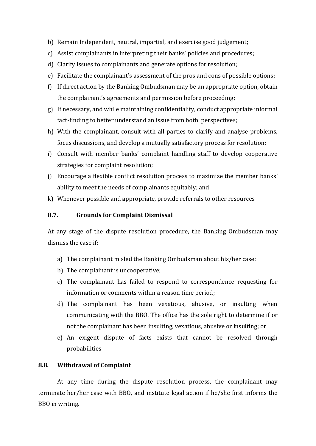- b) Remain Independent, neutral, impartial, and exercise good judgement;
- c) Assist complainants in interpreting their banks' policies and procedures;
- d) Clarify issues to complainants and generate options for resolution;
- e) Facilitate the complainant's assessment of the pros and cons of possible options;
- f) If direct action by the Banking Ombudsman may be an appropriate option, obtain the complainant's agreements and permission before proceeding;
- g) If necessary, and while maintaining confidentiality, conduct appropriate informal fact-finding to better understand an issue from both perspectives;
- h) With the complainant, consult with all parties to clarify and analyse problems, focus discussions, and develop a mutually satisfactory process for resolution;
- i) Consult with member banks' complaint handling staff to develop cooperative strategies for complaint resolution;
- j) Encourage a flexible conflict resolution process to maximize the member banks' ability to meet the needs of complainants equitably; and
- k) Whenever possible and appropriate, provide referrals to other resources

#### **8.7. Grounds for Complaint Dismissal**

At any stage of the dispute resolution procedure, the Banking Ombudsman may dismiss the case if:

- a) The complainant misled the Banking Ombudsman about his/her case;
- b) The complainant is uncooperative;
- c) The complainant has failed to respond to correspondence requesting for information or comments within a reason time period;
- d) The complainant has been vexatious, abusive, or insulting when communicating with the BBO. The office has the sole right to determine if or not the complainant has been insulting, vexatious, abusive or insulting; or
- e) An exigent dispute of facts exists that cannot be resolved through probabilities

#### **8.8. Withdrawal of Complaint**

At any time during the dispute resolution process, the complainant may terminate her/her case with BBO, and institute legal action if he/she first informs the BBO in writing.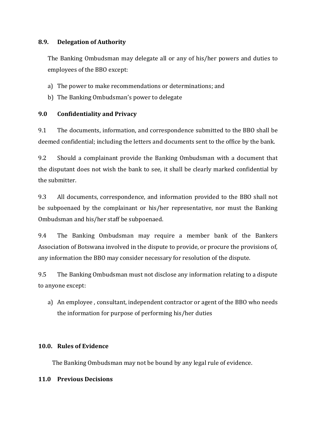# **8.9. Delegation of Authority**

The Banking Ombudsman may delegate all or any of his/her powers and duties to employees of the BBO except:

- a) The power to make recommendations or determinations; and
- b) The Banking Ombudsman's power to delegate

# **9.0 Confidentiality and Privacy**

9.1 The documents, information, and correspondence submitted to the BBO shall be deemed confidential; including the letters and documents sent to the office by the bank.

9.2 Should a complainant provide the Banking Ombudsman with a document that the disputant does not wish the bank to see, it shall be clearly marked confidential by the submitter.

9.3 All documents, correspondence, and information provided to the BBO shall not be subpoenaed by the complainant or his/her representative, nor must the Banking Ombudsman and his/her staff be subpoenaed.

9.4 The Banking Ombudsman may require a member bank of the Bankers Association of Botswana involved in the dispute to provide, or procure the provisions of, any information the BBO may consider necessary for resolution of the dispute.

9.5 The Banking Ombudsman must not disclose any information relating to a dispute to anyone except:

a) An employee , consultant, independent contractor or agent of the BBO who needs the information for purpose of performing his/her duties

# **10.0. Rules of Evidence**

The Banking Ombudsman may not be bound by any legal rule of evidence.

# **11.0 Previous Decisions**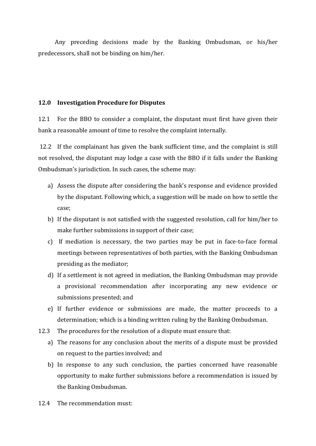Any preceding decisions made by the Banking Ombudsman, or his/her predecessors, shall not be binding on him/her.

#### **12.0 Investigation Procedure for Disputes**

12.1 For the BBO to consider a complaint, the disputant must first have given their bank a reasonable amount of time to resolve the complaint internally.

12.2 If the complainant has given the bank sufficient time, and the complaint is still not resolved, the disputant may lodge a case with the BBO if it falls under the Banking Ombudsman's jurisdiction. In such cases, the scheme may:

- a) Assess the dispute after considering the bank's response and evidence provided by the disputant. Following which, a suggestion will be made on how to settle the case;
- b) If the disputant is not satisfied with the suggested resolution, call for him/her to make further submissions in support of their case;
- c) If mediation is necessary, the two parties may be put in face-to-face formal meetings between representatives of both parties, with the Banking Ombudsman presiding as the mediator;
- d) If a settlement is not agreed in mediation, the Banking Ombudsman may provide a provisional recommendation after incorporating any new evidence or submissions presented; and
- e) If further evidence or submissions are made, the matter proceeds to a determination; which is a binding written ruling by the Banking Ombudsman.
- 12.3 The procedures for the resolution of a dispute must ensure that:
	- a) The reasons for any conclusion about the merits of a dispute must be provided on request to the parties involved; and
	- b) In response to any such conclusion, the parties concerned have reasonable opportunity to make further submissions before a recommendation is issued by the Banking Ombudsman.
- 12.4 The recommendation must: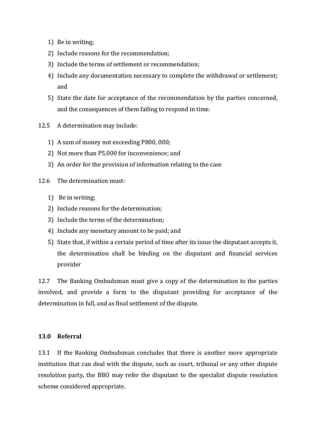- 1) Be in writing;
- 2) Include reasons for the recommendation;
- 3) Include the terms of settlement or recommendation;
- 4) Include any documentation necessary to complete the withdrawal or settlement; and
- 5) State the date for acceptance of the recommendation by the parties concerned, and the consequences of them failing to respond in time.
- 12.5 A determination may include:
	- 1) A sum of money not exceeding P800, 000;
	- 2) Not more than P5,000 for inconvenience; and
	- 3) An order for the provision of information relating to the case
- 12.6 The determination must:
	- 1) Be in writing;
	- 2) Include reasons for the determination;
	- 3) Include the terms of the determination;
	- 4) Include any monetary amount to be paid; and
	- 5) State that, if within a certain period of time after its issue the disputant accepts it, the determination shall be binding on the disputant and financial services provider

12.7 The Banking Ombudsman must give a copy of the determination to the parties involved, and provide a form to the disputant providing for acceptance of the determination in full, and as final settlement of the dispute.

## **13.0 Referral**

13.1 If the Banking Ombudsman concludes that there is another more appropriate institution that can deal with the dispute, such as court, tribunal or any other dispute resolution party, the BBO may refer the disputant to the specialist dispute resolution scheme considered appropriate.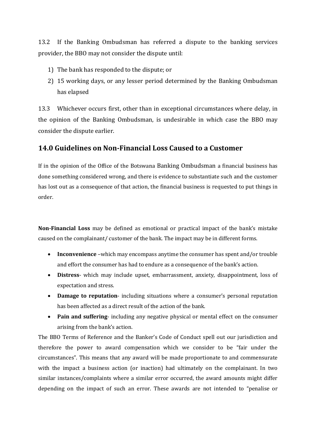13.2 If the Banking Ombudsman has referred a dispute to the banking services provider, the BBO may not consider the dispute until:

- 1) The bank has responded to the dispute; or
- 2) 15 working days, or any lesser period determined by the Banking Ombudsman has elapsed

13.3 Whichever occurs first, other than in exceptional circumstances where delay, in the opinion of the Banking Ombudsman, is undesirable in which case the BBO may consider the dispute earlier.

# **14.0 Guidelines on Non-Financial Loss Caused to a Customer**

If in the opinion of the Office of the Botswana Banking Ombudsman a financial business has done something considered wrong, and there is evidence to substantiate such and the customer has lost out as a consequence of that action, the financial business is requested to put things in order.

**Non-Financial Loss** may be defined as emotional or practical impact of the bank's mistake caused on the complainant/ customer of the bank. The impact may be in different forms.

- **Inconvenience** –which may encompass anytime the consumer has spent and/or trouble and effort the consumer has had to endure as a consequence of the bank's action.
- **Distress** which may include upset, embarrassment, anxiety, disappointment, loss of expectation and stress.
- **Damage to reputation** including situations where a consumer's personal reputation has been affected as a direct result of the action of the bank.
- **Pain and suffering** including any negative physical or mental effect on the consumer arising from the bank's action.

The BBO Terms of Reference and the Banker's Code of Conduct spell out our jurisdiction and therefore the power to award compensation which we consider to be "fair under the circumstances". This means that any award will be made proportionate to and commensurate with the impact a business action (or inaction) had ultimately on the complainant. In two similar instances/complaints where a similar error occurred, the award amounts might differ depending on the impact of such an error. These awards are not intended to "penalise or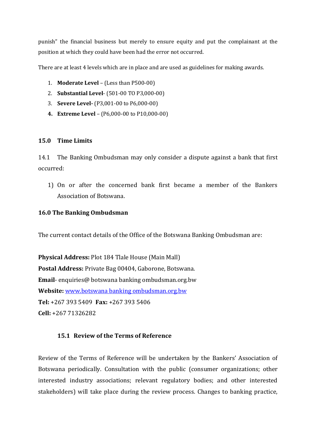punish" the financial business but merely to ensure equity and put the complainant at the position at which they could have been had the error not occurred.

There are at least 4 levels which are in place and are used as guidelines for making awards.

- 1. **Moderate Level** (Less than P500-00)
- 2. **Substantial Level** (501-00 TO P3,000-00)
- 3. **Severe Level-** (P3,001-00 to P6,000-00)
- **4. Extreme Level** (P6,000-00 to P10,000-00)

## **15.0 Time Limits**

14.1 The Banking Ombudsman may only consider a dispute against a bank that first occurred:

1) On or after the concerned bank first became a member of the Bankers Association of Botswana.

## **16.0 The Banking Ombudsman**

The current contact details of the Office of the Botswana Banking Ombudsman are:

**Physical Address:** Plot 184 Tlale House (Main Mall) **Postal Address:** Private Bag 00404, Gaborone, Botswana. **Email**- enquiries@ botswana banking ombudsman.org.bw **Website:** www.botswana banking ombudsman.org.bw **Tel:** +267 393 5409 **Fax:** +267 393 5406 **Cell:** +267 71326282

# **15.1 Review of the Terms of Reference**

Review of the Terms of Reference will be undertaken by the Bankers' Association of Botswana periodically. Consultation with the public (consumer organizations; other interested industry associations; relevant regulatory bodies; and other interested stakeholders) will take place during the review process. Changes to banking practice,